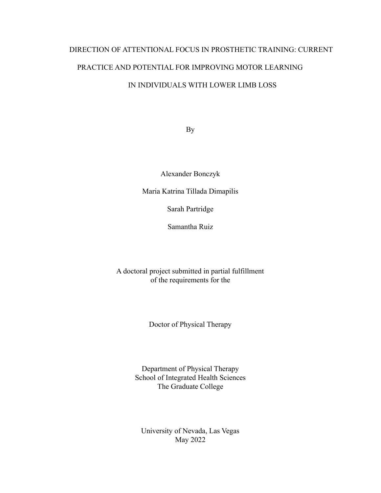# DIRECTION OF ATTENTIONAL FOCUS IN PROSTHETIC TRAINING: CURRENT PRACTICE AND POTENTIAL FOR IMPROVING MOTOR LEARNING IN INDIVIDUALS WITH LOWER LIMB LOSS

By

Alexander Bonczyk

Maria Katrina Tillada Dimapilis

Sarah Partridge

Samantha Ruiz

A doctoral project submitted in partial fulfillment of the requirements for the

Doctor of Physical Therapy

Department of Physical Therapy School of Integrated Health Sciences The Graduate College

University of Nevada, Las Vegas May 2022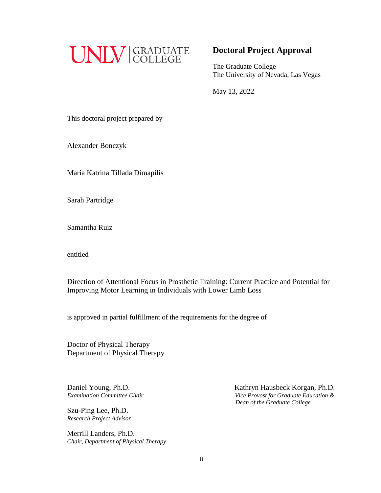

# **Doctoral Project Approval**

The Graduate College The University of Nevada, Las Vegas

May 13, 2022

This doctoral project prepared by

Alexander Bonczyk

Maria Katrina Tillada Dimapilis

Sarah Partridge

Samantha Ruiz

entitled

Direction of Attentional Focus in Prosthetic Training: Current Practice and Potential for Improving Motor Learning in Individuals with Lower Limb Loss

is approved in partial fulfillment of the requirements for the degree of

Doctor of Physical Therapy Department of Physical Therapy

Daniel Young, Ph.D.

Szu-Ping Lee, Ph.D. *Research Project Advisor*

Merrill Landers, Ph.D. *Chair, Department of Physical Therapy*

Daniel Young, Ph.D.<br> *Examination Committee Chair*<br> *Examination Committee Chair*<br> *Vice Provost for Graduate Education & Examination Committee Chair Vice Provost for Graduate Education & Dean of the Graduate College*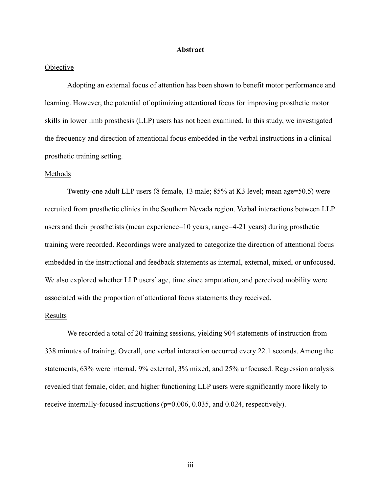#### **Abstract**

#### **Objective**

Adopting an external focus of attention has been shown to benefit motor performance and learning. However, the potential of optimizing attentional focus for improving prosthetic motor skills in lower limb prosthesis (LLP) users has not been examined. In this study, we investigated the frequency and direction of attentional focus embedded in the verbal instructions in a clinical prosthetic training setting.

#### Methods

Twenty-one adult LLP users (8 female, 13 male; 85% at K3 level; mean age=50.5) were recruited from prosthetic clinics in the Southern Nevada region. Verbal interactions between LLP users and their prosthetists (mean experience=10 years, range=4-21 years) during prosthetic training were recorded. Recordings were analyzed to categorize the direction of attentional focus embedded in the instructional and feedback statements as internal, external, mixed, or unfocused. We also explored whether LLP users' age, time since amputation, and perceived mobility were associated with the proportion of attentional focus statements they received.

#### Results

We recorded a total of 20 training sessions, yielding 904 statements of instruction from 338 minutes of training. Overall, one verbal interaction occurred every 22.1 seconds. Among the statements, 63% were internal, 9% external, 3% mixed, and 25% unfocused. Regression analysis revealed that female, older, and higher functioning LLP users were significantly more likely to receive internally-focused instructions (p=0.006, 0.035, and 0.024, respectively).

iii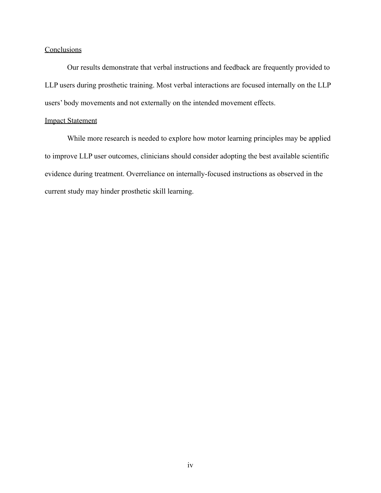## **Conclusions**

Our results demonstrate that verbal instructions and feedback are frequently provided to LLP users during prosthetic training. Most verbal interactions are focused internally on the LLP users' body movements and not externally on the intended movement effects.

#### Impact Statement

While more research is needed to explore how motor learning principles may be applied to improve LLP user outcomes, clinicians should consider adopting the best available scientific evidence during treatment. Overreliance on internally-focused instructions as observed in the current study may hinder prosthetic skill learning.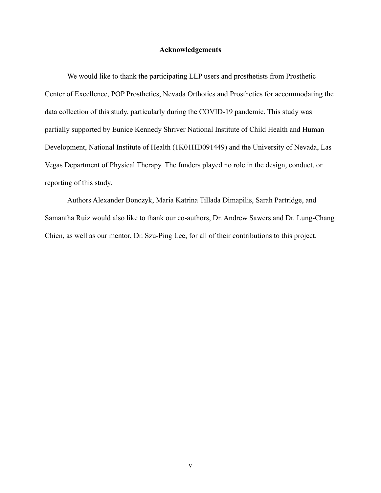#### **Acknowledgements**

We would like to thank the participating LLP users and prosthetists from Prosthetic Center of Excellence, POP Prosthetics, Nevada Orthotics and Prosthetics for accommodating the data collection of this study, particularly during the COVID-19 pandemic. This study was partially supported by Eunice Kennedy Shriver National Institute of Child Health and Human Development, National Institute of Health (1K01HD091449) and the University of Nevada, Las Vegas Department of Physical Therapy. The funders played no role in the design, conduct, or reporting of this study.

Authors Alexander Bonczyk, Maria Katrina Tillada Dimapilis, Sarah Partridge, and Samantha Ruiz would also like to thank our co-authors, Dr. Andrew Sawers and Dr. Lung-Chang Chien, as well as our mentor, Dr. Szu-Ping Lee, for all of their contributions to this project.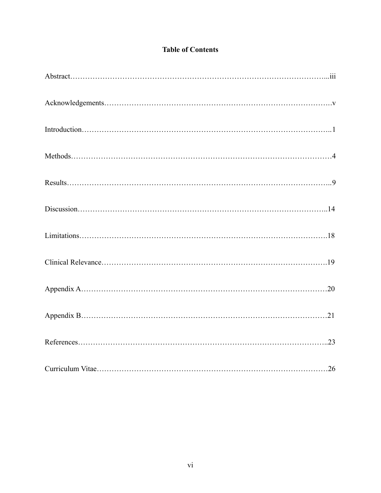# **Table of Contents**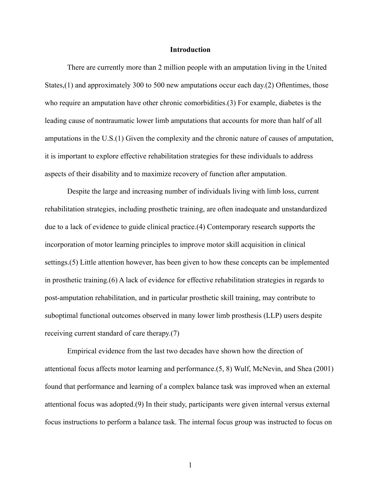#### **Introduction**

There are currently more than 2 million people with an amputation living in the United States,(1) and approximately 300 to 500 new amputations occur each day.(2) Oftentimes, those who require an amputation have other chronic comorbidities.(3) For example, diabetes is the leading cause of nontraumatic lower limb amputations that accounts for more than half of all amputations in the U.S.(1) Given the complexity and the chronic nature of causes of amputation, it is important to explore effective rehabilitation strategies for these individuals to address aspects of their disability and to maximize recovery of function after amputation.

Despite the large and increasing number of individuals living with limb loss, current rehabilitation strategies, including prosthetic training, are often inadequate and unstandardized due to a lack of evidence to guide clinical practice.(4) Contemporary research supports the incorporation of motor learning principles to improve motor skill acquisition in clinical settings.(5) Little attention however, has been given to how these concepts can be implemented in prosthetic training.(6) A lack of evidence for effective rehabilitation strategies in regards to post-amputation rehabilitation, and in particular prosthetic skill training, may contribute to suboptimal functional outcomes observed in many lower limb prosthesis (LLP) users despite receiving current standard of care therapy.(7)

Empirical evidence from the last two decades have shown how the direction of attentional focus affects motor learning and performance.(5, 8) Wulf, McNevin, and Shea (2001) found that performance and learning of a complex balance task was improved when an external attentional focus was adopted.(9) In their study, participants were given internal versus external focus instructions to perform a balance task. The internal focus group was instructed to focus on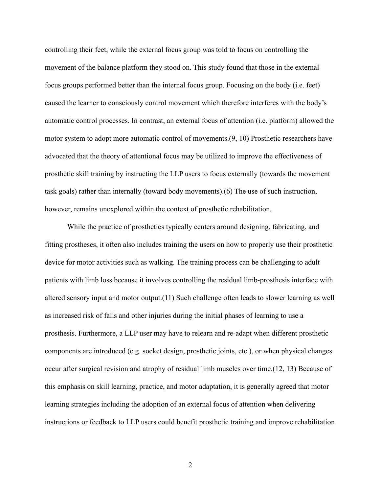controlling their feet, while the external focus group was told to focus on controlling the movement of the balance platform they stood on. This study found that those in the external focus groups performed better than the internal focus group. Focusing on the body (i.e. feet) caused the learner to consciously control movement which therefore interferes with the body's automatic control processes. In contrast, an external focus of attention (i.e. platform) allowed the motor system to adopt more automatic control of movements.(9, 10) Prosthetic researchers have advocated that the theory of attentional focus may be utilized to improve the effectiveness of prosthetic skill training by instructing the LLP users to focus externally (towards the movement task goals) rather than internally (toward body movements).(6) The use of such instruction, however, remains unexplored within the context of prosthetic rehabilitation.

While the practice of prosthetics typically centers around designing, fabricating, and fitting prostheses, it often also includes training the users on how to properly use their prosthetic device for motor activities such as walking. The training process can be challenging to adult patients with limb loss because it involves controlling the residual limb-prosthesis interface with altered sensory input and motor output.(11) Such challenge often leads to slower learning as well as increased risk of falls and other injuries during the initial phases of learning to use a prosthesis. Furthermore, a LLP user may have to relearn and re-adapt when different prosthetic components are introduced (e.g. socket design, prosthetic joints, etc.), or when physical changes occur after surgical revision and atrophy of residual limb muscles over time.(12, 13) Because of this emphasis on skill learning, practice, and motor adaptation, it is generally agreed that motor learning strategies including the adoption of an external focus of attention when delivering instructions or feedback to LLP users could benefit prosthetic training and improve rehabilitation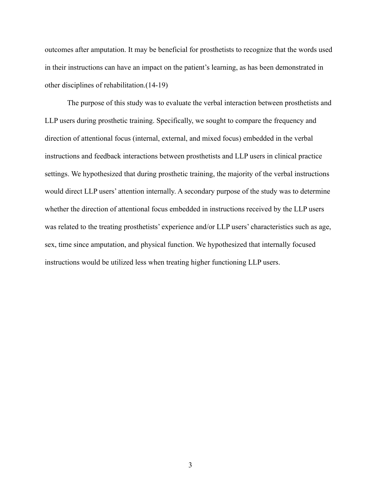outcomes after amputation. It may be beneficial for prosthetists to recognize that the words used in their instructions can have an impact on the patient's learning, as has been demonstrated in other disciplines of rehabilitation.(14-19)

The purpose of this study was to evaluate the verbal interaction between prosthetists and LLP users during prosthetic training. Specifically, we sought to compare the frequency and direction of attentional focus (internal, external, and mixed focus) embedded in the verbal instructions and feedback interactions between prosthetists and LLP users in clinical practice settings. We hypothesized that during prosthetic training, the majority of the verbal instructions would direct LLP users' attention internally. A secondary purpose of the study was to determine whether the direction of attentional focus embedded in instructions received by the LLP users was related to the treating prosthetists' experience and/or LLP users' characteristics such as age, sex, time since amputation, and physical function. We hypothesized that internally focused instructions would be utilized less when treating higher functioning LLP users.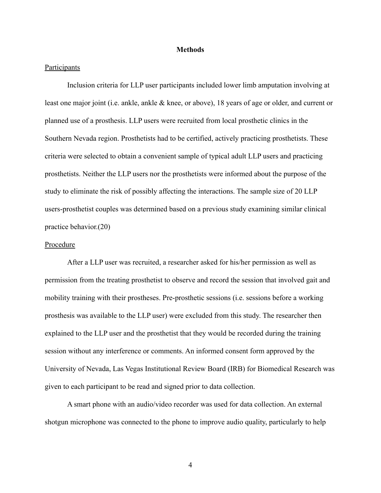#### **Methods**

#### Participants

Inclusion criteria for LLP user participants included lower limb amputation involving at least one major joint (i.e. ankle, ankle & knee, or above), 18 years of age or older, and current or planned use of a prosthesis. LLP users were recruited from local prosthetic clinics in the Southern Nevada region. Prosthetists had to be certified, actively practicing prosthetists. These criteria were selected to obtain a convenient sample of typical adult LLP users and practicing prosthetists. Neither the LLP users nor the prosthetists were informed about the purpose of the study to eliminate the risk of possibly affecting the interactions. The sample size of 20 LLP users-prosthetist couples was determined based on a previous study examining similar clinical practice behavior.(20)

#### Procedure

After a LLP user was recruited, a researcher asked for his/her permission as well as permission from the treating prosthetist to observe and record the session that involved gait and mobility training with their prostheses. Pre-prosthetic sessions (i.e. sessions before a working prosthesis was available to the LLP user) were excluded from this study. The researcher then explained to the LLP user and the prosthetist that they would be recorded during the training session without any interference or comments. An informed consent form approved by the University of Nevada, Las Vegas Institutional Review Board (IRB) for Biomedical Research was given to each participant to be read and signed prior to data collection.

A smart phone with an audio/video recorder was used for data collection. An external shotgun microphone was connected to the phone to improve audio quality, particularly to help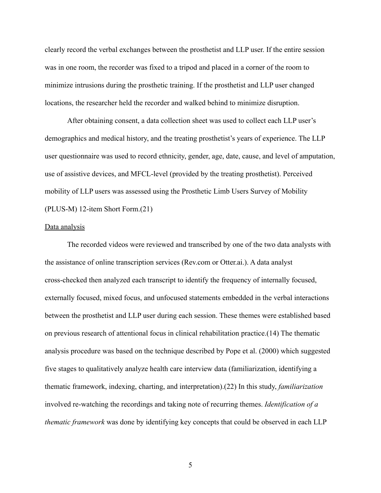clearly record the verbal exchanges between the prosthetist and LLP user. If the entire session was in one room, the recorder was fixed to a tripod and placed in a corner of the room to minimize intrusions during the prosthetic training. If the prosthetist and LLP user changed locations, the researcher held the recorder and walked behind to minimize disruption.

After obtaining consent, a data collection sheet was used to collect each LLP user's demographics and medical history, and the treating prosthetist's years of experience. The LLP user questionnaire was used to record ethnicity, gender, age, date, cause, and level of amputation, use of assistive devices, and MFCL-level (provided by the treating prosthetist). Perceived mobility of LLP users was assessed using the Prosthetic Limb Users Survey of Mobility (PLUS-M) 12-item Short Form.(21)

#### Data analysis

The recorded videos were reviewed and transcribed by one of the two data analysts with the assistance of online transcription services (Rev.com or Otter.ai.). A data analyst cross-checked then analyzed each transcript to identify the frequency of internally focused, externally focused, mixed focus, and unfocused statements embedded in the verbal interactions between the prosthetist and LLP user during each session. These themes were established based on previous research of attentional focus in clinical rehabilitation practice.(14) The thematic analysis procedure was based on the technique described by Pope et al. (2000) which suggested five stages to qualitatively analyze health care interview data (familiarization, identifying a thematic framework, indexing, charting, and interpretation).(22) In this study, *familiarization* involved re-watching the recordings and taking note of recurring themes. *Identification of a thematic framework* was done by identifying key concepts that could be observed in each LLP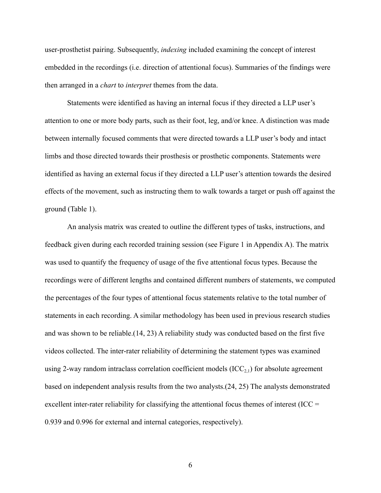user-prosthetist pairing. Subsequently, *indexing* included examining the concept of interest embedded in the recordings (i.e. direction of attentional focus). Summaries of the findings were then arranged in a *chart* to *interpret* themes from the data.

Statements were identified as having an internal focus if they directed a LLP user's attention to one or more body parts, such as their foot, leg, and/or knee. A distinction was made between internally focused comments that were directed towards a LLP user's body and intact limbs and those directed towards their prosthesis or prosthetic components. Statements were identified as having an external focus if they directed a LLP user's attention towards the desired effects of the movement, such as instructing them to walk towards a target or push off against the ground (Table 1).

An analysis matrix was created to outline the different types of tasks, instructions, and feedback given during each recorded training session (see Figure 1 in Appendix A). The matrix was used to quantify the frequency of usage of the five attentional focus types. Because the recordings were of different lengths and contained different numbers of statements, we computed the percentages of the four types of attentional focus statements relative to the total number of statements in each recording. A similar methodology has been used in previous research studies and was shown to be reliable.(14, 23) A reliability study was conducted based on the first five videos collected. The inter-rater reliability of determining the statement types was examined using 2-way random intraclass correlation coefficient models  $(ICC_{2,1})$  for absolute agreement based on independent analysis results from the two analysts.(24, 25) The analysts demonstrated excellent inter-rater reliability for classifying the attentional focus themes of interest  $\text{ICC} =$ 0.939 and 0.996 for external and internal categories, respectively).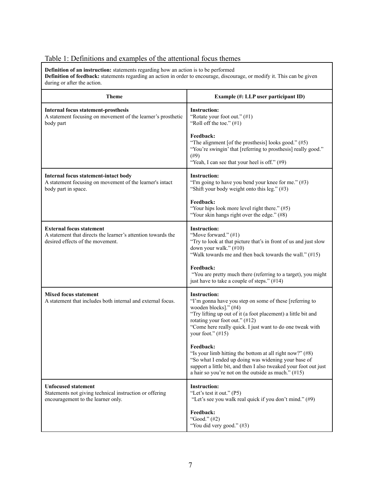# Table 1: Definitions and examples of the attentional focus themes

**Definition of an instruction:** statements regarding how an action is to be performed **Definition of feedback:** statements regarding an action in order to encourage, discourage, or modify it. This can be given during or after the action.

| <b>Theme</b>                                                                                                                        | Example (#: LLP user participant ID)                                                                                                                                                                                                                                                            |
|-------------------------------------------------------------------------------------------------------------------------------------|-------------------------------------------------------------------------------------------------------------------------------------------------------------------------------------------------------------------------------------------------------------------------------------------------|
| <b>Internal focus statement-prosthesis</b><br>A statement focusing on movement of the learner's prosthetic<br>body part             | <b>Instruction:</b><br>"Rotate your foot out." (#1)<br>"Roll off the toe." $(\#1)$                                                                                                                                                                                                              |
|                                                                                                                                     | Feedback:<br>"The alignment [of the prosthesis] looks good." $(\#5)$<br>"You're swingin' that [referring to prosthesis] really good."<br>$(\#9)$<br>"Yeah, I can see that your heel is off." (#9)                                                                                               |
| Internal focus statement-intact body<br>A statement focusing on movement of the learner's intact<br>body part in space.             | <b>Instruction:</b><br>"I'm going to have you bend your knee for me." $(\#3)$<br>"Shift your body weight onto this leg." (#3)                                                                                                                                                                   |
|                                                                                                                                     | Feedback:<br>"Your hips look more level right there." (#5)<br>"Your skin hangs right over the edge." (#8)                                                                                                                                                                                       |
| <b>External focus statement</b><br>A statement that directs the learner's attention towards the<br>desired effects of the movement. | <b>Instruction:</b><br>"Move forward." (#1)<br>"Try to look at that picture that's in front of us and just slow<br>down your walk." (#10)<br>"Walk towards me and then back towards the wall." (#15)                                                                                            |
|                                                                                                                                     | Feedback:<br>"You are pretty much there (referring to a target), you might<br>just have to take a couple of steps." (#14)                                                                                                                                                                       |
| <b>Mixed focus statement</b><br>A statement that includes both internal and external focus.                                         | <b>Instruction:</b><br>"I'm gonna have you step on some of these [referring to<br>wooden blocks]." (#4)<br>"Try lifting up out of it (a foot placement) a little bit and<br>rotating your foot out." (#12)<br>"Come here really quick. I just want to do one tweak with<br>your foot." $(\#15)$ |
|                                                                                                                                     | Feedback:<br>"Is your limb hitting the bottom at all right now?" (#8)<br>"So what I ended up doing was widening your base of<br>support a little bit, and then I also tweaked your foot out just<br>a hair so you're not on the outside as much." $(\#15)$                                      |
| <b>Unfocused statement</b><br>Statements not giving technical instruction or offering<br>encouragement to the learner only.         | <b>Instruction:</b><br>"Let's test it out." (P5)<br>"Let's see you walk real quick if you don't mind." (#9)                                                                                                                                                                                     |
|                                                                                                                                     | Feedback:<br>"Good." (#2)<br>"You did very good." (#3)                                                                                                                                                                                                                                          |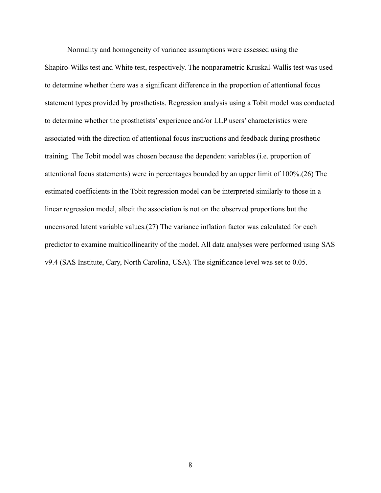Normality and homogeneity of variance assumptions were assessed using the Shapiro-Wilks test and White test, respectively. The nonparametric Kruskal-Wallis test was used to determine whether there was a significant difference in the proportion of attentional focus statement types provided by prosthetists. Regression analysis using a Tobit model was conducted to determine whether the prosthetists' experience and/or LLP users' characteristics were associated with the direction of attentional focus instructions and feedback during prosthetic training. The Tobit model was chosen because the dependent variables (i.e. proportion of attentional focus statements) were in percentages bounded by an upper limit of 100%.(26) The estimated coefficients in the Tobit regression model can be interpreted similarly to those in a linear regression model, albeit the association is not on the observed proportions but the uncensored latent variable values.(27) The variance inflation factor was calculated for each predictor to examine multicollinearity of the model. All data analyses were performed using SAS v9.4 (SAS Institute, Cary, North Carolina, USA). The significance level was set to 0.05.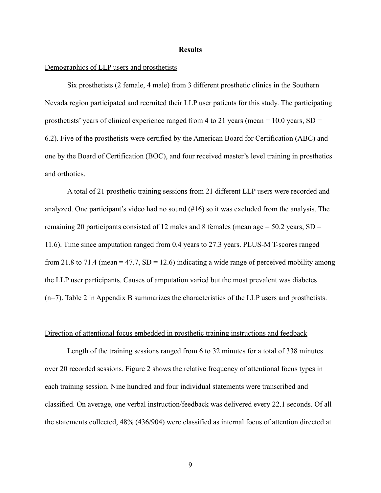#### **Results**

### Demographics of LLP users and prosthetists

Six prosthetists (2 female, 4 male) from 3 different prosthetic clinics in the Southern Nevada region participated and recruited their LLP user patients for this study. The participating prosthetists' years of clinical experience ranged from 4 to 21 years (mean =  $10.0$  years, SD = 6.2). Five of the prosthetists were certified by the American Board for Certification (ABC) and one by the Board of Certification (BOC), and four received master's level training in prosthetics and orthotics.

A total of 21 prosthetic training sessions from 21 different LLP users were recorded and analyzed. One participant's video had no sound (#16) so it was excluded from the analysis. The remaining 20 participants consisted of 12 males and 8 females (mean age  $= 50.2$  years, SD  $=$ 11.6). Time since amputation ranged from 0.4 years to 27.3 years. PLUS-M T-scores ranged from 21.8 to 71.4 (mean = 47.7,  $SD = 12.6$ ) indicating a wide range of perceived mobility among the LLP user participants. Causes of amputation varied but the most prevalent was diabetes (n=7). Table 2 in Appendix B summarizes the characteristics of the LLP users and prosthetists.

#### Direction of attentional focus embedded in prosthetic training instructions and feedback

Length of the training sessions ranged from 6 to 32 minutes for a total of 338 minutes over 20 recorded sessions. Figure 2 shows the relative frequency of attentional focus types in each training session. Nine hundred and four individual statements were transcribed and classified. On average, one verbal instruction/feedback was delivered every 22.1 seconds. Of all the statements collected, 48% (436/904) were classified as internal focus of attention directed at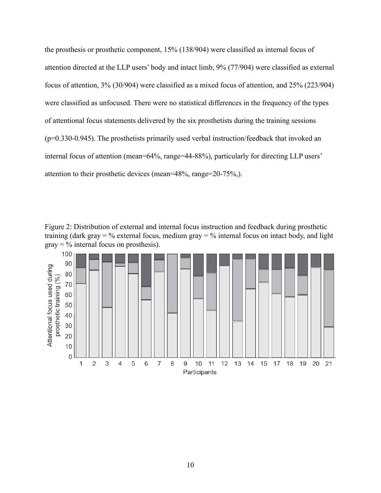the prosthesis or prosthetic component, 15% (138/904) were classified as internal focus of attention directed at the LLP users' body and intact limb, 9% (77/904) were classified as external focus of attention, 3% (30/904) were classified as a mixed focus of attention, and 25% (223/904) were classified as unfocused. There were no statistical differences in the frequency of the types of attentional focus statements delivered by the six prosthetists during the training sessions (p=0.330-0.945). The prosthetists primarily used verbal instruction/feedback that invoked an internal focus of attention (mean=64%, range=44-88%), particularly for directing LLP users' attention to their prosthetic devices (mean=48%, range=20-75%,).



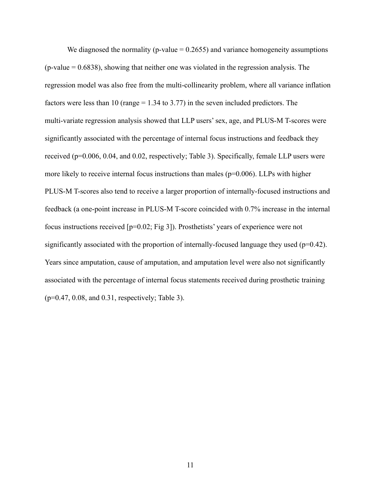We diagnosed the normality (p-value  $= 0.2655$ ) and variance homogeneity assumptions  $(p-value = 0.6838)$ , showing that neither one was violated in the regression analysis. The regression model was also free from the multi-collinearity problem, where all variance inflation factors were less than 10 (range  $= 1.34$  to 3.77) in the seven included predictors. The multi-variate regression analysis showed that LLP users' sex, age, and PLUS-M T-scores were significantly associated with the percentage of internal focus instructions and feedback they received (p=0.006, 0.04, and 0.02, respectively; Table 3). Specifically, female LLP users were more likely to receive internal focus instructions than males ( $p=0.006$ ). LLPs with higher PLUS-M T-scores also tend to receive a larger proportion of internally-focused instructions and feedback (a one-point increase in PLUS-M T-score coincided with 0.7% increase in the internal focus instructions received [p=0.02; Fig 3]). Prosthetists' years of experience were not significantly associated with the proportion of internally-focused language they used ( $p=0.42$ ). Years since amputation, cause of amputation, and amputation level were also not significantly associated with the percentage of internal focus statements received during prosthetic training (p=0.47, 0.08, and 0.31, respectively; Table 3).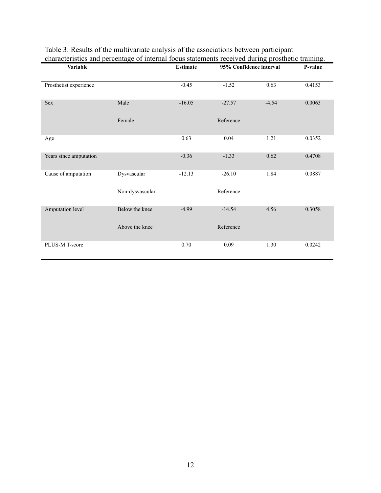| <b>Variable</b>        |                 | <b>Estimate</b> | 95% Confidence interval | ō<br>P-value |        |
|------------------------|-----------------|-----------------|-------------------------|--------------|--------|
| Prosthetist experience |                 | $-0.45$         | $-1.52$                 | 0.63         | 0.4153 |
| Sex                    | Male            | $-16.05$        | $-27.57$                | $-4.54$      | 0.0063 |
|                        | Female          |                 | Reference               |              |        |
| Age                    |                 | 0.63            | 0.04                    | 1.21         | 0.0352 |
| Years since amputation |                 | $-0.36$         | $-1.33$                 | 0.62         | 0.4708 |
| Cause of amputation    | Dysvascular     | $-12.13$        | $-26.10$                | 1.84         | 0.0887 |
|                        | Non-dysvascular |                 | Reference               |              |        |
| Amputation level       | Below the knee  | $-4.99$         | $-14.54$                | 4.56         | 0.3058 |
|                        | Above the knee  |                 | Reference               |              |        |
| PLUS-M T-score         |                 | 0.70            | 0.09                    | 1.30         | 0.0242 |

## Table 3: Results of the multivariate analysis of the associations between participant characteristics and percentage of internal focus statements received during prosthetic training.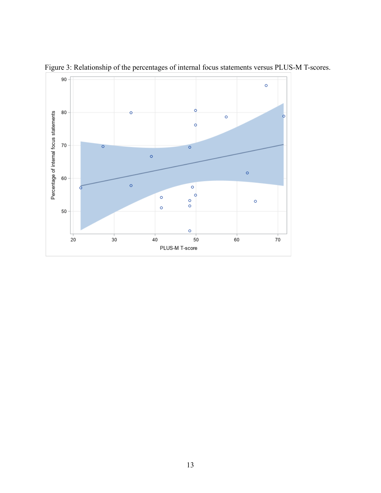

Figure 3: Relationship of the percentages of internal focus statements versus PLUS-M T-scores.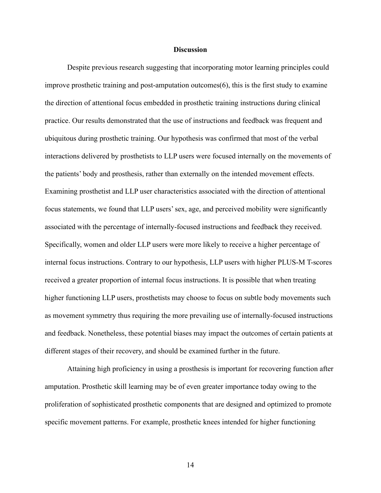#### **Discussion**

Despite previous research suggesting that incorporating motor learning principles could improve prosthetic training and post-amputation outcomes(6), this is the first study to examine the direction of attentional focus embedded in prosthetic training instructions during clinical practice. Our results demonstrated that the use of instructions and feedback was frequent and ubiquitous during prosthetic training. Our hypothesis was confirmed that most of the verbal interactions delivered by prosthetists to LLP users were focused internally on the movements of the patients' body and prosthesis, rather than externally on the intended movement effects. Examining prosthetist and LLP user characteristics associated with the direction of attentional focus statements, we found that LLP users' sex, age, and perceived mobility were significantly associated with the percentage of internally-focused instructions and feedback they received. Specifically, women and older LLP users were more likely to receive a higher percentage of internal focus instructions. Contrary to our hypothesis, LLP users with higher PLUS-M T-scores received a greater proportion of internal focus instructions. It is possible that when treating higher functioning LLP users, prosthetists may choose to focus on subtle body movements such as movement symmetry thus requiring the more prevailing use of internally-focused instructions and feedback. Nonetheless, these potential biases may impact the outcomes of certain patients at different stages of their recovery, and should be examined further in the future.

Attaining high proficiency in using a prosthesis is important for recovering function after amputation. Prosthetic skill learning may be of even greater importance today owing to the proliferation of sophisticated prosthetic components that are designed and optimized to promote specific movement patterns. For example, prosthetic knees intended for higher functioning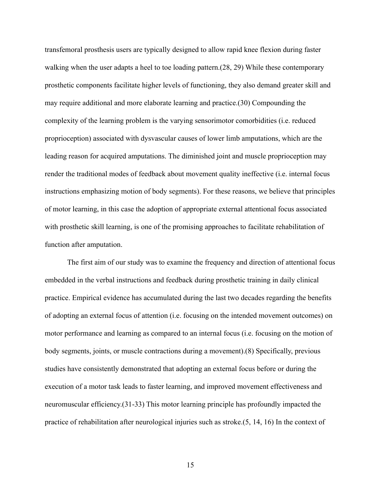transfemoral prosthesis users are typically designed to allow rapid knee flexion during faster walking when the user adapts a heel to toe loading pattern. (28, 29) While these contemporary prosthetic components facilitate higher levels of functioning, they also demand greater skill and may require additional and more elaborate learning and practice.(30) Compounding the complexity of the learning problem is the varying sensorimotor comorbidities (i.e. reduced proprioception) associated with dysvascular causes of lower limb amputations, which are the leading reason for acquired amputations. The diminished joint and muscle proprioception may render the traditional modes of feedback about movement quality ineffective (i.e. internal focus instructions emphasizing motion of body segments). For these reasons, we believe that principles of motor learning, in this case the adoption of appropriate external attentional focus associated with prosthetic skill learning, is one of the promising approaches to facilitate rehabilitation of function after amputation.

The first aim of our study was to examine the frequency and direction of attentional focus embedded in the verbal instructions and feedback during prosthetic training in daily clinical practice. Empirical evidence has accumulated during the last two decades regarding the benefits of adopting an external focus of attention (i.e. focusing on the intended movement outcomes) on motor performance and learning as compared to an internal focus (i.e. focusing on the motion of body segments, joints, or muscle contractions during a movement).(8) Specifically, previous studies have consistently demonstrated that adopting an external focus before or during the execution of a motor task leads to faster learning, and improved movement effectiveness and neuromuscular efficiency.(31-33) This motor learning principle has profoundly impacted the practice of rehabilitation after neurological injuries such as stroke.(5, 14, 16) In the context of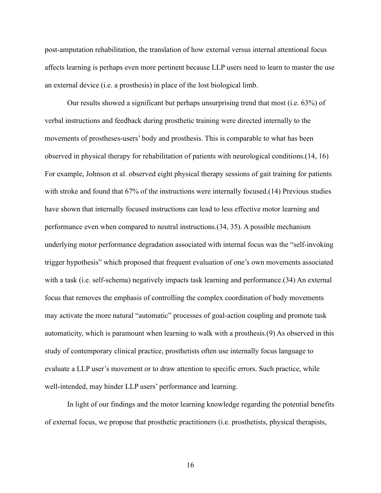post-amputation rehabilitation, the translation of how external versus internal attentional focus affects learning is perhaps even more pertinent because LLP users need to learn to master the use an external device (i.e. a prosthesis) in place of the lost biological limb.

Our results showed a significant but perhaps unsurprising trend that most (i.e. 63%) of verbal instructions and feedback during prosthetic training were directed internally to the movements of prostheses-users' body and prosthesis. This is comparable to what has been observed in physical therapy for rehabilitation of patients with neurological conditions.(14, 16) For example, Johnson et al. observed eight physical therapy sessions of gait training for patients with stroke and found that 67% of the instructions were internally focused.(14) Previous studies have shown that internally focused instructions can lead to less effective motor learning and performance even when compared to neutral instructions.(34, 35). A possible mechanism underlying motor performance degradation associated with internal focus was the "self-invoking trigger hypothesis" which proposed that frequent evaluation of one's own movements associated with a task (i.e. self-schema) negatively impacts task learning and performance. (34) An external focus that removes the emphasis of controlling the complex coordination of body movements may activate the more natural "automatic" processes of goal-action coupling and promote task automaticity, which is paramount when learning to walk with a prosthesis.(9) As observed in this study of contemporary clinical practice, prosthetists often use internally focus language to evaluate a LLP user's movement or to draw attention to specific errors. Such practice, while well-intended, may hinder LLP users' performance and learning.

In light of our findings and the motor learning knowledge regarding the potential benefits of external focus, we propose that prosthetic practitioners (i.e. prosthetists, physical therapists,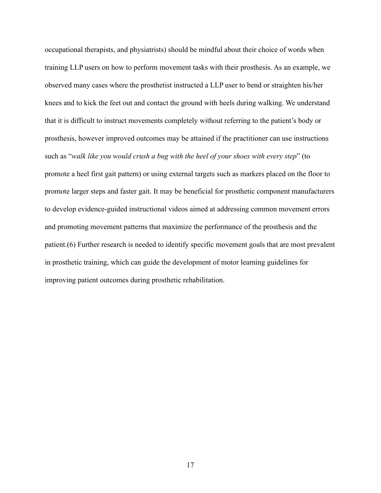occupational therapists, and physiatrists) should be mindful about their choice of words when training LLP users on how to perform movement tasks with their prosthesis. As an example, we observed many cases where the prosthetist instructed a LLP user to bend or straighten his/her knees and to kick the feet out and contact the ground with heels during walking. We understand that it is difficult to instruct movements completely without referring to the patient's body or prosthesis, however improved outcomes may be attained if the practitioner can use instructions such as "*walk like you would crush a bug with the heel of your shoes with every step*" (to promote a heel first gait pattern) or using external targets such as markers placed on the floor to promote larger steps and faster gait. It may be beneficial for prosthetic component manufacturers to develop evidence-guided instructional videos aimed at addressing common movement errors and promoting movement patterns that maximize the performance of the prosthesis and the patient.(6) Further research is needed to identify specific movement goals that are most prevalent in prosthetic training, which can guide the development of motor learning guidelines for improving patient outcomes during prosthetic rehabilitation.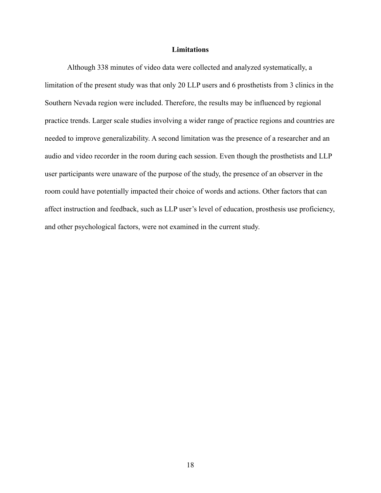### **Limitations**

Although 338 minutes of video data were collected and analyzed systematically, a limitation of the present study was that only 20 LLP users and 6 prosthetists from 3 clinics in the Southern Nevada region were included. Therefore, the results may be influenced by regional practice trends. Larger scale studies involving a wider range of practice regions and countries are needed to improve generalizability. A second limitation was the presence of a researcher and an audio and video recorder in the room during each session. Even though the prosthetists and LLP user participants were unaware of the purpose of the study, the presence of an observer in the room could have potentially impacted their choice of words and actions. Other factors that can affect instruction and feedback, such as LLP user's level of education, prosthesis use proficiency, and other psychological factors, were not examined in the current study.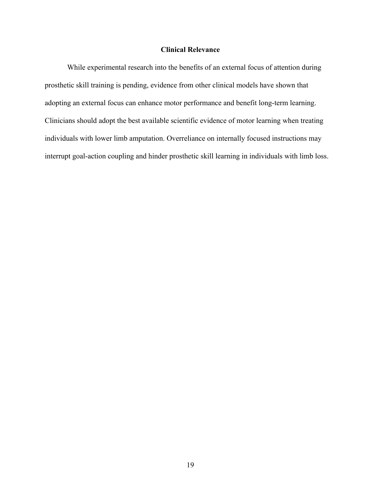## **Clinical Relevance**

While experimental research into the benefits of an external focus of attention during prosthetic skill training is pending, evidence from other clinical models have shown that adopting an external focus can enhance motor performance and benefit long-term learning. Clinicians should adopt the best available scientific evidence of motor learning when treating individuals with lower limb amputation. Overreliance on internally focused instructions may interrupt goal-action coupling and hinder prosthetic skill learning in individuals with limb loss.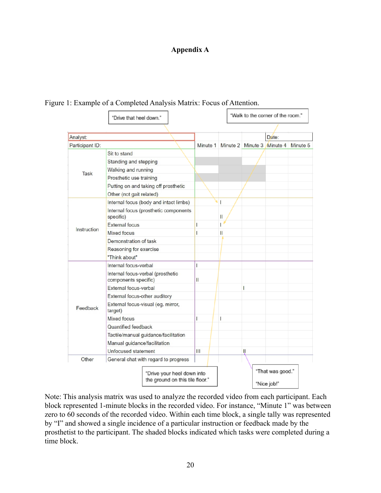## **Appendix A**

|                 | "Drive that heel down."                                       |          |              | "Walk to the corner of the room." |                                 |          |
|-----------------|---------------------------------------------------------------|----------|--------------|-----------------------------------|---------------------------------|----------|
|                 |                                                               |          |              |                                   |                                 |          |
| Analyst:        |                                                               |          |              |                                   | Date:                           |          |
| Participant ID: |                                                               | Minute 1 |              | Minute 2 Minute 3 Minute 4        |                                 | Minute 5 |
|                 | Sit to stand                                                  |          |              |                                   |                                 |          |
|                 | Standing and stepping                                         |          |              |                                   |                                 |          |
|                 | Walking and running                                           |          |              |                                   |                                 |          |
| Task            | Prosthetic use training                                       |          |              |                                   |                                 |          |
|                 | Putting on and taking off prosthetic                          |          |              |                                   |                                 |          |
|                 | Other (not gait related)                                      |          |              |                                   |                                 |          |
|                 | Internal focus (body and intact limbs)                        |          | $\mathbf{I}$ |                                   |                                 |          |
|                 | Internal focus (prosthetic components<br>specific)            |          | Ш            |                                   |                                 |          |
|                 | <b>External focus</b>                                         | L        |              |                                   |                                 |          |
| Instruction     | <b>Mixed focus</b>                                            | L        | Ш            |                                   |                                 |          |
|                 | Demonstration of task                                         |          |              |                                   |                                 |          |
|                 | Reasoning for exercise                                        |          |              |                                   |                                 |          |
|                 | "Think about"                                                 |          |              |                                   |                                 |          |
|                 | Internal focus-verbal                                         | I        |              |                                   |                                 |          |
|                 | Internal focus-verbal (prosthetic<br>components specific)     | Ш        |              |                                   |                                 |          |
|                 | External focus-verbal                                         |          |              | L                                 |                                 |          |
|                 | External focus-other auditory                                 |          |              |                                   |                                 |          |
| Feedback        | External focus-visual (eg. mirror,<br>target)                 |          |              |                                   |                                 |          |
|                 | <b>Mixed focus</b>                                            | L        | $\mathsf{I}$ |                                   |                                 |          |
|                 | Quantified feedback                                           |          |              |                                   |                                 |          |
|                 | Tactile/manual guidance/facilitation                          |          |              |                                   |                                 |          |
|                 | Manual guidance/facilitation                                  |          |              |                                   |                                 |          |
|                 | Unfocused statement                                           | Ш        |              | $\mathsf{II}$                     |                                 |          |
| Other           | General chat with regard to progress                          |          |              |                                   |                                 |          |
|                 | "Drive your heel down into<br>the ground on this tile floor." |          |              |                                   | "That was good."<br>"Nice job!" |          |

Figure 1: Example of a Completed Analysis Matrix: Focus of Attention.

Note: This analysis matrix was used to analyze the recorded video from each participant. Each block represented 1-minute blocks in the recorded video. For instance, "Minute 1" was between zero to 60 seconds of the recorded video. Within each time block, a single tally was represented by "I" and showed a single incidence of a particular instruction or feedback made by the prosthetist to the participant. The shaded blocks indicated which tasks were completed during a time block.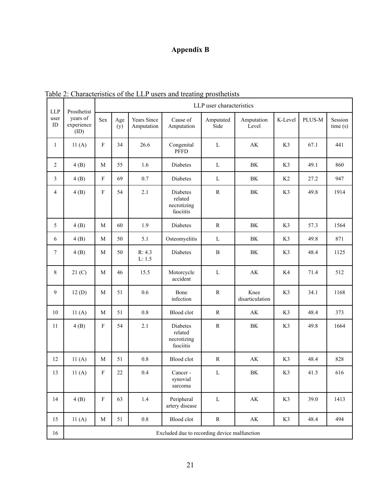# **Appendix B**

| <b>LLP</b>       | LLP user characteristics<br>Prosthetist      |                           |            |                           |                                                        |                   |                         |         |        |                    |
|------------------|----------------------------------------------|---------------------------|------------|---------------------------|--------------------------------------------------------|-------------------|-------------------------|---------|--------|--------------------|
| user<br>$\rm ID$ | years of<br>experience<br>(ID)               | <b>Sex</b>                | Age<br>(y) | Years Since<br>Amputation | Cause of<br>Amputation                                 | Amputated<br>Side | Amputation<br>Level     | K-Level | PLUS-M | Session<br>time(s) |
| $\mathbf{1}$     | 11(A)                                        | $\boldsymbol{\mathrm{F}}$ | 34         | 26.6                      | Congenital<br><b>PFFD</b>                              | $\mathbf L$       | AK                      | K3      | 67.1   | 441                |
| $\overline{c}$   | 4(B)                                         | $\mathbf{M}$              | 55         | 1.6                       | Diabetes                                               | $\mathbf L$       | BK                      | K3      | 49.1   | 860                |
| 3                | 4(B)                                         | $\boldsymbol{\mathrm{F}}$ | 69         | 0.7                       | Diabetes                                               | L                 | BK                      | K2      | 27.2   | 947                |
| 4                | 4(B)                                         | $\boldsymbol{\mathrm{F}}$ | 54         | 2.1                       | <b>Diabetes</b><br>related<br>necrotizing<br>fasciitis | ${\bf R}$         | BK                      | K3      | 49.8   | 1914               |
| 5                | 4(B)                                         | $\mathbf{M}$              | 60         | 1.9                       | Diabetes                                               | $\mathbf R$       | $\rm BK$                | K3      | 57.3   | 1564               |
| 6                | 4(B)                                         | $\mathbf{M}$              | 50         | 5.1                       | Osteomyelitis                                          | L                 | BK                      | K3      | 49.8   | 871                |
| $\overline{7}$   | 4(B)                                         | M                         | 50         | R: 4.3<br>L: 1.5          | <b>Diabetes</b>                                        | $\, {\bf B}$      | BK                      | K3      | 48.4   | 1125               |
| 8                | 21 <sub>(C)</sub>                            | $\mathbf{M}$              | 46         | 15.5                      | Motorcycle<br>accident                                 | $\mathbf L$       | AK                      | K4      | 71.4   | 512                |
| 9                | 12(D)                                        | $\mathbf{M}$              | 51         | 0.6                       | Bone<br>infection                                      | $\mathbf R$       | Knee<br>disarticulation | K3      | 34.1   | 1168               |
| 10               | 11(A)                                        | $\mathbf{M}$              | 51         | $0.8\,$                   | Blood clot                                             | $\mathbb{R}$      | AK                      | K3      | 48.4   | 373                |
| 11               | 4(B)                                         | $\boldsymbol{\mathrm{F}}$ | 54         | 2.1                       | Diabetes<br>related<br>necrotizing<br>fasciitis        | ${\bf R}$         | $\rm BK$                | K3      | 49.8   | 1664               |
| 12               | 11(A)                                        | $\mathbf{M}$              | 51         | $0.8\,$                   | Blood clot                                             | ${\bf R}$         | $\mathbf{AK}$           | K3      | 48.4   | 828                |
| 13               | 11(A)                                        | $\boldsymbol{\mathrm{F}}$ | 22         | 0.4                       | Cancer-<br>synovial<br>sarcoma                         | L                 | $\rm BK$                | K3      | 41.5   | 616                |
| 14               | 4(B)                                         | $\mathbf F$               | 63         | $1.4\,$                   | Peripheral<br>artery disease                           | $\mathbf L$       | $\mathbf{A}\mathbf{K}$  | K3      | 39.0   | 1413               |
| 15               | 11(A)                                        | $\mathbf M$               | 51         | $0.8\,$                   | Blood clot                                             | ${\bf R}$         | $\mathbf{A}\mathbf{K}$  | K3      | 48.4   | 494                |
| 16               | Excluded due to recording device malfunction |                           |            |                           |                                                        |                   |                         |         |        |                    |

Table 2: Characteristics of the LLP users and treating prosthetists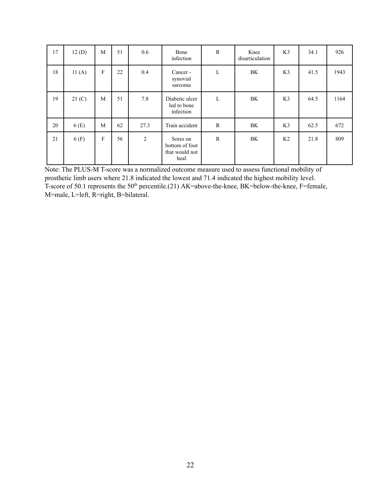| 17 | 12(D)             | M       | 51 | 0.6            | Bone<br>infection                                    | $\mathbf R$  | Knee<br>disarticulation | K3             | 34.1 | 926  |
|----|-------------------|---------|----|----------------|------------------------------------------------------|--------------|-------------------------|----------------|------|------|
| 18 | 11(A)             | $\rm F$ | 22 | 0.4            | Cancer -<br>synovial<br>sarcoma                      | L            | BK                      | K <sub>3</sub> | 41.5 | 1943 |
| 19 | 21 <sub>(C)</sub> | M       | 51 | 7.8            | Diabetic ulcer<br>led to bone<br>infection           | L            | BK                      | K <sub>3</sub> | 64.5 | 1164 |
| 20 | 6(E)              | M       | 62 | 27.3           | Train accident                                       | R            | BK                      | K3             | 62.5 | 672  |
| 21 | 6(F)              | F       | 56 | $\overline{c}$ | Sores on<br>bottom of foot<br>that would not<br>heal | $\mathbb{R}$ | BK                      | K <sub>2</sub> | 21.8 | 809  |

Note: The PLUS-M T-score was a normalized outcome measure used to assess functional mobility of prosthetic limb users where 21.8 indicated the lowest and 71.4 indicated the highest mobility level. T-score of 50.1 represents the 50<sup>th</sup> percentile.(21) AK=above-the-knee, BK=below-the-knee, F=female, M=male, L=left, R=right, B=bilateral.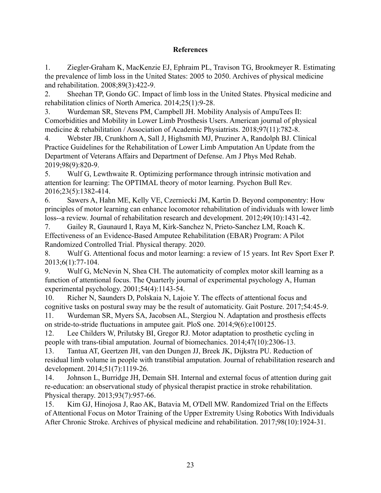## **References**

1. Ziegler-Graham K, MacKenzie EJ, Ephraim PL, Travison TG, Brookmeyer R. Estimating the prevalence of limb loss in the United States: 2005 to 2050. Archives of physical medicine and rehabilitation. 2008;89(3):422-9.

2. Sheehan TP, Gondo GC. Impact of limb loss in the United States. Physical medicine and rehabilitation clinics of North America. 2014;25(1):9-28.

3. Wurdeman SR, Stevens PM, Campbell JH. Mobility Analysis of AmpuTees II: Comorbidities and Mobility in Lower Limb Prosthesis Users. American journal of physical medicine & rehabilitation / Association of Academic Physiatrists. 2018;97(11):782-8.

4. Webster JB, Crunkhorn A, Sall J, Highsmith MJ, Pruziner A, Randolph BJ. Clinical Practice Guidelines for the Rehabilitation of Lower Limb Amputation An Update from the Department of Veterans Affairs and Department of Defense. Am J Phys Med Rehab. 2019;98(9):820-9.

5. Wulf G, Lewthwaite R. Optimizing performance through intrinsic motivation and attention for learning: The OPTIMAL theory of motor learning. Psychon Bull Rev. 2016;23(5):1382-414.

6. Sawers A, Hahn ME, Kelly VE, Czerniecki JM, Kartin D. Beyond componentry: How principles of motor learning can enhance locomotor rehabilitation of individuals with lower limb loss--a review. Journal of rehabilitation research and development. 2012;49(10):1431-42.

7. Gailey R, Gaunaurd I, Raya M, Kirk-Sanchez N, Prieto-Sanchez LM, Roach K. Effectiveness of an Evidence-Based Amputee Rehabilitation (EBAR) Program: A Pilot Randomized Controlled Trial. Physical therapy. 2020.

8. Wulf G. Attentional focus and motor learning: a review of 15 years. Int Rev Sport Exer P. 2013;6(1):77-104.

9. Wulf G, McNevin N, Shea CH. The automaticity of complex motor skill learning as a function of attentional focus. The Quarterly journal of experimental psychology A, Human experimental psychology. 2001;54(4):1143-54.

10. Richer N, Saunders D, Polskaia N, Lajoie Y. The effects of attentional focus and cognitive tasks on postural sway may be the result of automaticity. Gait Posture. 2017;54:45-9. 11. Wurdeman SR, Myers SA, Jacobsen AL, Stergiou N. Adaptation and prosthesis effects on stride-to-stride fluctuations in amputee gait. PloS one. 2014;9(6):e100125.

12. Lee Childers W, Prilutsky BI, Gregor RJ. Motor adaptation to prosthetic cycling in people with trans-tibial amputation. Journal of biomechanics. 2014;47(10):2306-13.

13. Tantua AT, Geertzen JH, van den Dungen JJ, Breek JK, Dijkstra PU. Reduction of residual limb volume in people with transtibial amputation. Journal of rehabilitation research and development. 2014;51(7):1119-26.

14. Johnson L, Burridge JH, Demain SH. Internal and external focus of attention during gait re-education: an observational study of physical therapist practice in stroke rehabilitation. Physical therapy. 2013;93(7):957-66.

15. Kim GJ, Hinojosa J, Rao AK, Batavia M, O'Dell MW. Randomized Trial on the Effects of Attentional Focus on Motor Training of the Upper Extremity Using Robotics With Individuals After Chronic Stroke. Archives of physical medicine and rehabilitation. 2017;98(10):1924-31.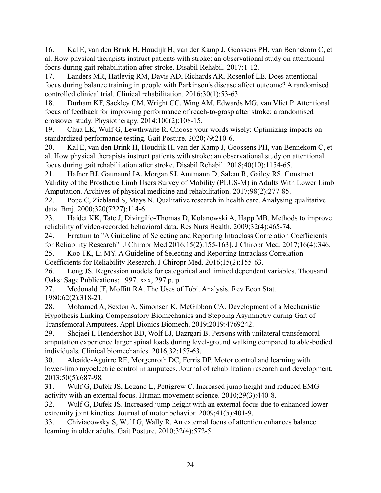16. Kal E, van den Brink H, Houdijk H, van der Kamp J, Goossens PH, van Bennekom C, et al. How physical therapists instruct patients with stroke: an observational study on attentional focus during gait rehabilitation after stroke. Disabil Rehabil. 2017:1-12.

17. Landers MR, Hatlevig RM, Davis AD, Richards AR, Rosenlof LE. Does attentional focus during balance training in people with Parkinson's disease affect outcome? A randomised controlled clinical trial. Clinical rehabilitation. 2016;30(1):53-63.

18. Durham KF, Sackley CM, Wright CC, Wing AM, Edwards MG, van Vliet P. Attentional focus of feedback for improving performance of reach-to-grasp after stroke: a randomised crossover study. Physiotherapy. 2014;100(2):108-15.

19. Chua LK, Wulf G, Lewthwaite R. Choose your words wisely: Optimizing impacts on standardized performance testing. Gait Posture. 2020;79:210-6.

20. Kal E, van den Brink H, Houdijk H, van der Kamp J, Goossens PH, van Bennekom C, et al. How physical therapists instruct patients with stroke: an observational study on attentional focus during gait rehabilitation after stroke. Disabil Rehabil. 2018;40(10):1154-65.

21. Hafner BJ, Gaunaurd IA, Morgan SJ, Amtmann D, Salem R, Gailey RS. Construct Validity of the Prosthetic Limb Users Survey of Mobility (PLUS-M) in Adults With Lower Limb Amputation. Archives of physical medicine and rehabilitation. 2017;98(2):277-85.

22. Pope C, Ziebland S, Mays N. Qualitative research in health care. Analysing qualitative data. Bmj. 2000;320(7227):114-6.

23. Haidet KK, Tate J, Divirgilio-Thomas D, Kolanowski A, Happ MB. Methods to improve reliability of video-recorded behavioral data. Res Nurs Health. 2009;32(4):465-74.

24. Erratum to "A Guideline of Selecting and Reporting Intraclass Correlation Coefficients for Reliability Research" [J Chiropr Med 2016;15(2):155-163]. J Chiropr Med. 2017;16(4):346. 25. Koo TK, Li MY. A Guideline of Selecting and Reporting Intraclass Correlation

Coefficients for Reliability Research. J Chiropr Med. 2016;15(2):155-63.

26. Long JS. Regression models for categorical and limited dependent variables. Thousand Oaks: Sage Publications; 1997. xxx, 297 p. p.

27. Mcdonald JF, Moffitt RA. The Uses of Tobit Analysis. Rev Econ Stat. 1980;62(2):318-21.

28. Mohamed A, Sexton A, Simonsen K, McGibbon CA. Development of a Mechanistic Hypothesis Linking Compensatory Biomechanics and Stepping Asymmetry during Gait of Transfemoral Amputees. Appl Bionics Biomech. 2019;2019:4769242.

29. Shojaei I, Hendershot BD, Wolf EJ, Bazrgari B. Persons with unilateral transfemoral amputation experience larger spinal loads during level-ground walking compared to able-bodied individuals. Clinical biomechanics. 2016;32:157-63.

30. Alcaide-Aguirre RE, Morgenroth DC, Ferris DP. Motor control and learning with lower-limb myoelectric control in amputees. Journal of rehabilitation research and development. 2013;50(5):687-98.

31. Wulf G, Dufek JS, Lozano L, Pettigrew C. Increased jump height and reduced EMG activity with an external focus. Human movement science. 2010;29(3):440-8.

32. Wulf G, Dufek JS. Increased jump height with an external focus due to enhanced lower extremity joint kinetics. Journal of motor behavior. 2009;41(5):401-9.

33. Chiviacowsky S, Wulf G, Wally R. An external focus of attention enhances balance learning in older adults. Gait Posture. 2010;32(4):572-5.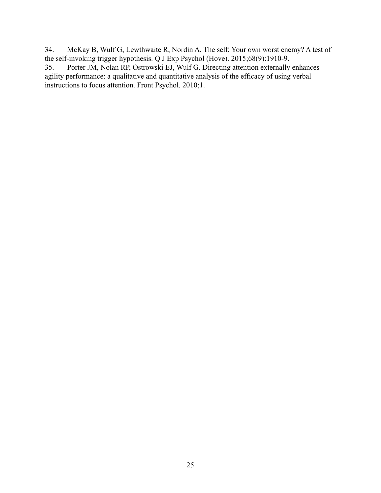34. McKay B, Wulf G, Lewthwaite R, Nordin A. The self: Your own worst enemy? A test of the self-invoking trigger hypothesis. Q J Exp Psychol (Hove). 2015;68(9):1910-9.<br>35. Porter JM, Nolan RP, Ostrowski EJ, Wulf G. Directing attention externally

Porter JM, Nolan RP, Ostrowski EJ, Wulf G. Directing attention externally enhances agility performance: a qualitative and quantitative analysis of the efficacy of using verbal instructions to focus attention. Front Psychol. 2010;1.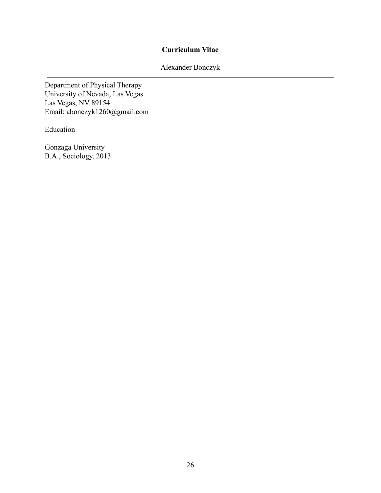# **Curriculum Vitae**

Alexander Bonczyk

Department of Physical Therapy University of Nevada, Las Vegas Las Vegas, NV 89154 Email: abonczyk1260@gmail.com

Education

Gonzaga University B.A., Sociology, 2013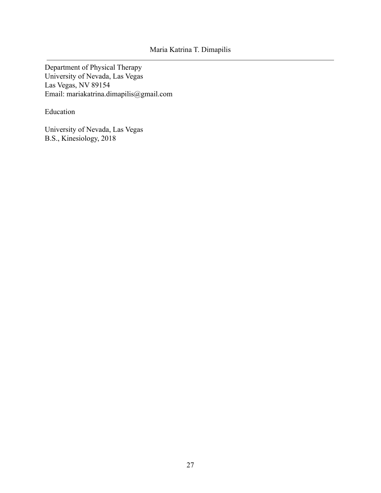Department of Physical Therapy University of Nevada, Las Vegas Las Vegas, NV 89154 Email: [mariakatrina.dimapilis@gmail.com](mailto:mariakatrina.dimapilis@gmail.com)

Education

University of Nevada, Las Vegas B.S., Kinesiology, 2018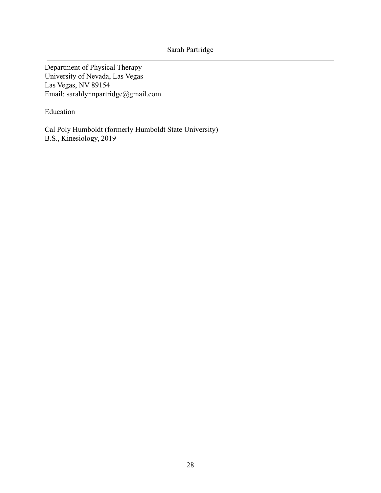Department of Physical Therapy University of Nevada, Las Vegas Las Vegas, NV 89154 Email: sarahlynnpartridge@gmail.com

Education

Cal Poly Humboldt (formerly Humboldt State University) B.S., Kinesiology, 2019